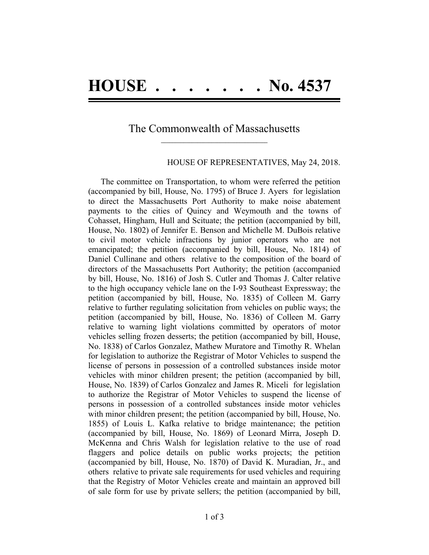## The Commonwealth of Massachusetts **\_\_\_\_\_\_\_\_\_\_\_\_\_\_\_\_\_\_\_\_\_\_\_\_\_\_\_\_\_\_\_\_\_\_\_\_\_\_**

## HOUSE OF REPRESENTATIVES, May 24, 2018.

The committee on Transportation, to whom were referred the petition (accompanied by bill, House, No. 1795) of Bruce J. Ayers for legislation to direct the Massachusetts Port Authority to make noise abatement payments to the cities of Quincy and Weymouth and the towns of Cohasset, Hingham, Hull and Scituate; the petition (accompanied by bill, House, No. 1802) of Jennifer E. Benson and Michelle M. DuBois relative to civil motor vehicle infractions by junior operators who are not emancipated; the petition (accompanied by bill, House, No. 1814) of Daniel Cullinane and others relative to the composition of the board of directors of the Massachusetts Port Authority; the petition (accompanied by bill, House, No. 1816) of Josh S. Cutler and Thomas J. Calter relative to the high occupancy vehicle lane on the I-93 Southeast Expressway; the petition (accompanied by bill, House, No. 1835) of Colleen M. Garry relative to further regulating solicitation from vehicles on public ways; the petition (accompanied by bill, House, No. 1836) of Colleen M. Garry relative to warning light violations committed by operators of motor vehicles selling frozen desserts; the petition (accompanied by bill, House, No. 1838) of Carlos Gonzalez, Mathew Muratore and Timothy R. Whelan for legislation to authorize the Registrar of Motor Vehicles to suspend the license of persons in possession of a controlled substances inside motor vehicles with minor children present; the petition (accompanied by bill, House, No. 1839) of Carlos Gonzalez and James R. Miceli for legislation to authorize the Registrar of Motor Vehicles to suspend the license of persons in possession of a controlled substances inside motor vehicles with minor children present; the petition (accompanied by bill, House, No. 1855) of Louis L. Kafka relative to bridge maintenance; the petition (accompanied by bill, House, No. 1869) of Leonard Mirra, Joseph D. McKenna and Chris Walsh for legislation relative to the use of road flaggers and police details on public works projects; the petition (accompanied by bill, House, No. 1870) of David K. Muradian, Jr., and others relative to private sale requirements for used vehicles and requiring that the Registry of Motor Vehicles create and maintain an approved bill of sale form for use by private sellers; the petition (accompanied by bill,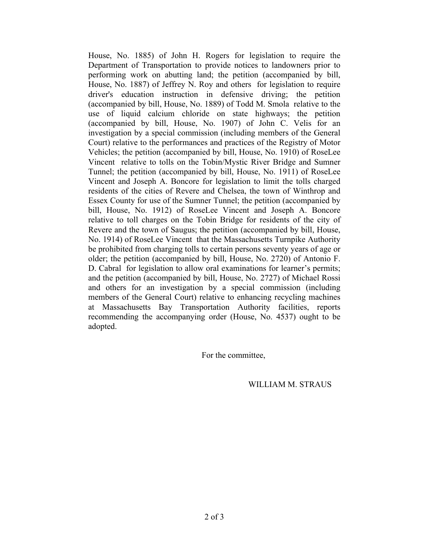House, No. 1885) of John H. Rogers for legislation to require the Department of Transportation to provide notices to landowners prior to performing work on abutting land; the petition (accompanied by bill, House, No. 1887) of Jeffrey N. Roy and others for legislation to require driver's education instruction in defensive driving; the petition (accompanied by bill, House, No. 1889) of Todd M. Smola relative to the use of liquid calcium chloride on state highways; the petition (accompanied by bill, House, No. 1907) of John C. Velis for an investigation by a special commission (including members of the General Court) relative to the performances and practices of the Registry of Motor Vehicles; the petition (accompanied by bill, House, No. 1910) of RoseLee Vincent relative to tolls on the Tobin/Mystic River Bridge and Sumner Tunnel; the petition (accompanied by bill, House, No. 1911) of RoseLee Vincent and Joseph A. Boncore for legislation to limit the tolls charged residents of the cities of Revere and Chelsea, the town of Winthrop and Essex County for use of the Sumner Tunnel; the petition (accompanied by bill, House, No. 1912) of RoseLee Vincent and Joseph A. Boncore relative to toll charges on the Tobin Bridge for residents of the city of Revere and the town of Saugus; the petition (accompanied by bill, House, No. 1914) of RoseLee Vincent that the Massachusetts Turnpike Authority be prohibited from charging tolls to certain persons seventy years of age or older; the petition (accompanied by bill, House, No. 2720) of Antonio F. D. Cabral for legislation to allow oral examinations for learner's permits; and the petition (accompanied by bill, House, No. 2727) of Michael Rossi and others for an investigation by a special commission (including members of the General Court) relative to enhancing recycling machines at Massachusetts Bay Transportation Authority facilities, reports recommending the accompanying order (House, No. 4537) ought to be adopted.

For the committee,

WILLIAM M. STRAUS